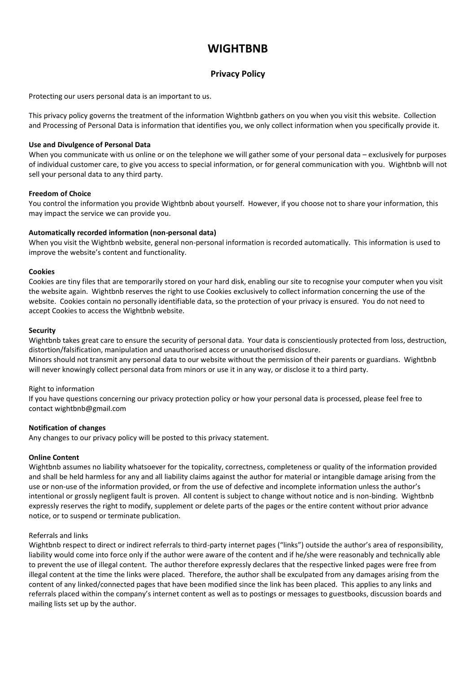# **WIGHTBNB**

## **Privacy Policy**

Protecting our users personal data is an important to us.

This privacy policy governs the treatment of the information Wightbnb gathers on you when you visit this website. Collection and Processing of Personal Data is information that identifies you, we only collect information when you specifically provide it.

## **Use and Divulgence of Personal Data**

When you communicate with us online or on the telephone we will gather some of your personal data – exclusively for purposes of individual customer care, to give you access to special information, or for general communication with you. Wightbnb will not sell your personal data to any third party.

## **Freedom of Choice**

You control the information you provide Wightbnb about yourself. However, if you choose not to share your information, this may impact the service we can provide you.

## **Automatically recorded information (non-personal data)**

When you visit the Wightbnb website, general non-personal information is recorded automatically. This information is used to improve the website's content and functionality.

## **Cookies**

Cookies are tiny files that are temporarily stored on your hard disk, enabling our site to recognise your computer when you visit the website again. Wightbnb reserves the right to use Cookies exclusively to collect information concerning the use of the website. Cookies contain no personally identifiable data, so the protection of your privacy is ensured. You do not need to accept Cookies to access the Wightbnb website.

#### **Security**

Wightbnb takes great care to ensure the security of personal data. Your data is conscientiously protected from loss, destruction, distortion/falsification, manipulation and unauthorised access or unauthorised disclosure.

Minors should not transmit any personal data to our website without the permission of their parents or guardians. Wightbnb will never knowingly collect personal data from minors or use it in any way, or disclose it to a third party.

## Right to information

If you have questions concerning our privacy protection policy or how your personal data is processed, please feel free to contact wightbnb@gmail.com

## **Notification of changes**

Any changes to our privacy policy will be posted to this privacy statement.

## **Online Content**

Wightbnb assumes no liability whatsoever for the topicality, correctness, completeness or quality of the information provided and shall be held harmless for any and all liability claims against the author for material or intangible damage arising from the use or non-use of the information provided, or from the use of defective and incomplete information unless the author's intentional or grossly negligent fault is proven. All content is subject to change without notice and is non-binding. Wightbnb expressly reserves the right to modify, supplement or delete parts of the pages or the entire content without prior advance notice, or to suspend or terminate publication.

#### Referrals and links

Wightbnb respect to direct or indirect referrals to third-party internet pages ("links") outside the author's area of responsibility, liability would come into force only if the author were aware of the content and if he/she were reasonably and technically able to prevent the use of illegal content. The author therefore expressly declares that the respective linked pages were free from illegal content at the time the links were placed. Therefore, the author shall be exculpated from any damages arising from the content of any linked/connected pages that have been modified since the link has been placed. This applies to any links and referrals placed within the company's internet content as well as to postings or messages to guestbooks, discussion boards and mailing lists set up by the author.